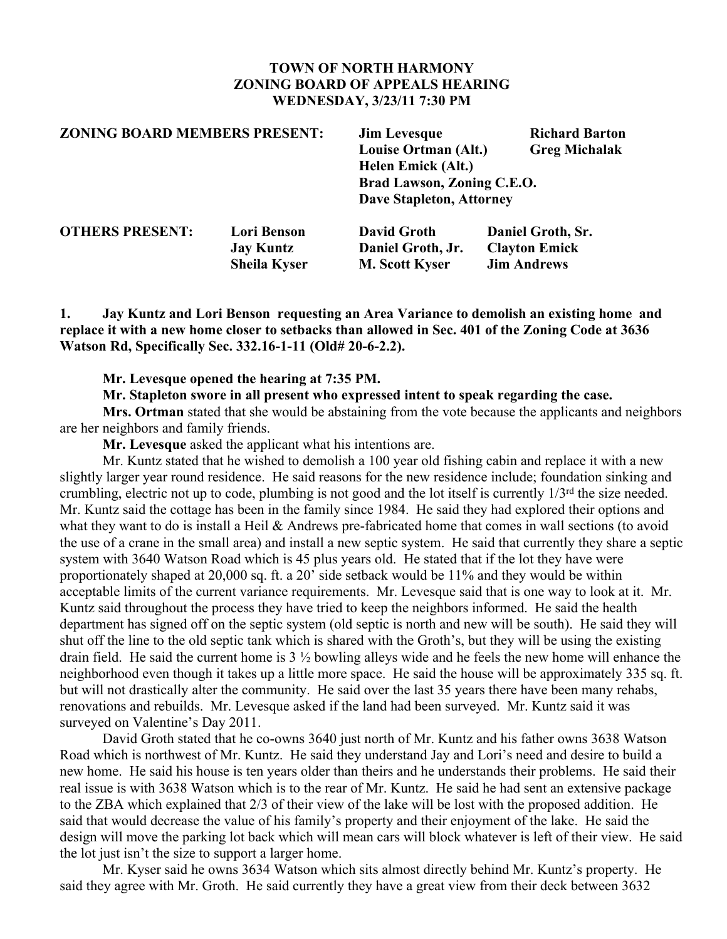## **TOWN OF NORTH HARMONY ZONING BOARD OF APPEALS HEARING WEDNESDAY, 3/23/11 7:30 PM**

| <b>ZONING BOARD MEMBERS PRESENT:</b> |                     | <b>Jim Levesque</b>                              | <b>Richard Barton</b> |
|--------------------------------------|---------------------|--------------------------------------------------|-----------------------|
|                                      |                     | Louise Ortman (Alt.)                             | <b>Greg Michalak</b>  |
|                                      |                     | Helen Emick (Alt.)<br>Brad Lawson, Zoning C.E.O. |                       |
|                                      |                     |                                                  |                       |
| <b>OTHERS PRESENT:</b>               | <b>Lori Benson</b>  | <b>David Groth</b>                               | Daniel Groth, Sr.     |
|                                      | <b>Jay Kuntz</b>    | Daniel Groth, Jr.                                | <b>Clayton Emick</b>  |
|                                      | <b>Sheila Kyser</b> | <b>M. Scott Kyser</b>                            | <b>Jim Andrews</b>    |

**1. Jay Kuntz and Lori Benson requesting an Area Variance to demolish an existing home and** replace it with a new home closer to setbacks than allowed in Sec. 401 of the Zoning Code at 3636 **Watson Rd, Specifically Sec. 332.16-1-11 (Old# 20-6-2.2).**

#### **Mr. Levesque opened the hearing at 7:35 PM.**

**Mr. Stapleton swore in all present who expressed intent to speak regarding the case.**

**Mrs. Ortman** stated that she would be abstaining from the vote because the applicants and neighbors are her neighbors and family friends.

**Mr. Levesque** asked the applicant what his intentions are.

Mr. Kuntz stated that he wished to demolish a 100 year old fishing cabin and replace it with a new slightly larger year round residence. He said reasons for the new residence include; foundation sinking and crumbling, electric not up to code, plumbing is not good and the lot itself is currently 1/3<sup>rd</sup> the size needed. Mr. Kuntz said the cottage has been in the family since 1984. He said they had explored their options and what they want to do is install a Heil & Andrews pre-fabricated home that comes in wall sections (to avoid the use of a crane in the small area) and install a new septic system. He said that currently they share a septic system with 3640 Watson Road which is 45 plus years old. He stated that if the lot they have were proportionately shaped at 20,000 sq. ft. a 20' side setback would be 11% and they would be within acceptable limits of the current variance requirements. Mr. Levesque said that is one way to look at it. Mr. Kuntz said throughout the process they have tried to keep the neighbors informed. He said the health department has signed off on the septic system (old septic is north and new will be south). He said they will shut off the line to the old septic tank which is shared with the Groth's, but they will be using the existing drain field. He said the current home is 3 ½ bowling alleys wide and he feels the new home will enhance the neighborhood even though it takes up a little more space. He said the house will be approximately 335 sq. ft. but will not drastically alter the community. He said over the last 35 years there have been many rehabs, renovations and rebuilds. Mr. Levesque asked if the land had been surveyed. Mr. Kuntz said it was surveyed on Valentine's Day 2011.

David Groth stated that he co-owns 3640 just north of Mr. Kuntz and his father owns 3638 Watson Road which is northwest of Mr. Kuntz. He said they understand Jay and Lori's need and desire to build a new home. He said his house is ten years older than theirs and he understands their problems. He said their real issue is with 3638 Watson which is to the rear of Mr. Kuntz. He said he had sent an extensive package to the ZBA which explained that 2/3 of their view of the lake will be lost with the proposed addition. He said that would decrease the value of his family's property and their enjoyment of the lake. He said the design will move the parking lot back which will mean cars will block whatever is left of their view. He said the lot just isn't the size to support a larger home.

Mr. Kyser said he owns 3634 Watson which sits almost directly behind Mr. Kuntz's property. He said they agree with Mr. Groth. He said currently they have a great view from their deck between 3632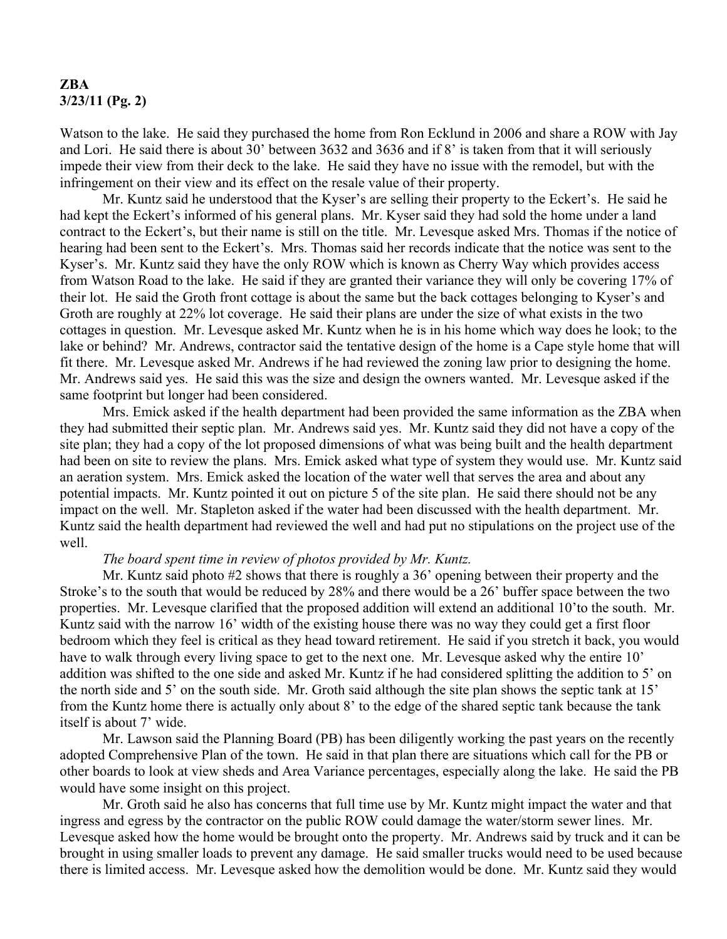# **ZBA 3/23/11 (Pg. 2)**

Watson to the lake. He said they purchased the home from Ron Ecklund in 2006 and share a ROW with Jay and Lori. He said there is about 30' between 3632 and 3636 and if 8' is taken from that it will seriously impede their view from their deck to the lake. He said they have no issue with the remodel, but with the infringement on their view and its effect on the resale value of their property.

Mr. Kuntz said he understood that the Kyser's are selling their property to the Eckert's. He said he had kept the Eckert's informed of his general plans. Mr. Kyser said they had sold the home under a land contract to the Eckert's, but their name is still on the title. Mr. Levesque asked Mrs. Thomas if the notice of hearing had been sent to the Eckert's. Mrs. Thomas said her records indicate that the notice was sent to the Kyser's. Mr. Kuntz said they have the only ROW which is known as Cherry Way which provides access from Watson Road to the lake. He said if they are granted their variance they will only be covering 17% of their lot. He said the Groth front cottage is about the same but the back cottages belonging to Kyser's and Groth are roughly at 22% lot coverage. He said their plans are under the size of what exists in the two cottages in question. Mr. Levesque asked Mr. Kuntz when he is in his home which way does he look; to the lake or behind? Mr. Andrews, contractor said the tentative design of the home is a Cape style home that will fit there. Mr. Levesque asked Mr. Andrews if he had reviewed the zoning law prior to designing the home. Mr. Andrews said yes. He said this was the size and design the owners wanted. Mr. Levesque asked if the same footprint but longer had been considered.

Mrs. Emick asked if the health department had been provided the same information as the ZBA when they had submitted their septic plan. Mr. Andrews said yes. Mr. Kuntz said they did not have a copy of the site plan; they had a copy of the lot proposed dimensions of what was being built and the health department had been on site to review the plans. Mrs. Emick asked what type of system they would use. Mr. Kuntz said an aeration system. Mrs. Emick asked the location of the water well that serves the area and about any potential impacts. Mr. Kuntz pointed it out on picture 5 of the site plan. He said there should not be any impact on the well. Mr. Stapleton asked if the water had been discussed with the health department. Mr. Kuntz said the health department had reviewed the well and had put no stipulations on the project use of the well.

#### *The board spent time in review of photos provided by Mr. Kuntz.*

Mr. Kuntz said photo #2 shows that there is roughly a 36' opening between their property and the Stroke's to the south that would be reduced by 28% and there would be a 26' buffer space between the two properties. Mr. Levesque clarified that the proposed addition will extend an additional 10'to the south. Mr. Kuntz said with the narrow 16' width of the existing house there was no way they could get a first floor bedroom which they feel is critical as they head toward retirement. He said if you stretch it back, you would have to walk through every living space to get to the next one. Mr. Levesque asked why the entire 10' addition was shifted to the one side and asked Mr. Kuntz if he had considered splitting the addition to 5' on the north side and 5' on the south side. Mr. Groth said although the site plan shows the septic tank at 15' from the Kuntz home there is actually only about 8' to the edge of the shared septic tank because the tank itself is about 7' wide.

Mr. Lawson said the Planning Board (PB) has been diligently working the past years on the recently adopted Comprehensive Plan of the town. He said in that plan there are situations which call for the PB or other boards to look at view sheds and Area Variance percentages, especially along the lake. He said the PB would have some insight on this project.

Mr. Groth said he also has concerns that full time use by Mr. Kuntz might impact the water and that ingress and egress by the contractor on the public ROW could damage the water/storm sewer lines. Mr. Levesque asked how the home would be brought onto the property. Mr. Andrews said by truck and it can be brought in using smaller loads to prevent any damage. He said smaller trucks would need to be used because there is limited access. Mr. Levesque asked how the demolition would be done. Mr. Kuntz said they would